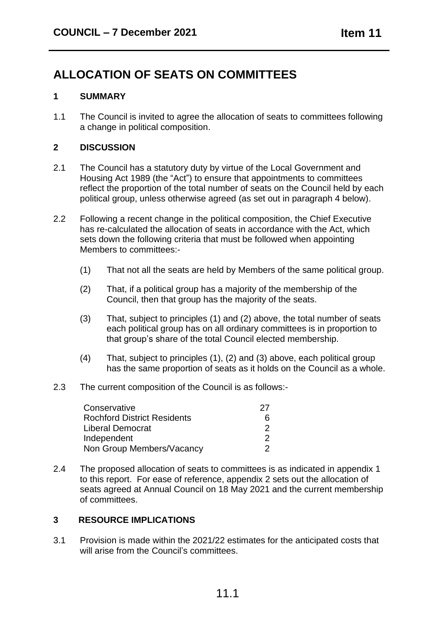# **ALLOCATION OF SEATS ON COMMITTEES**

## **1 SUMMARY**

1.1 The Council is invited to agree the allocation of seats to committees following a change in political composition.

## **2 DISCUSSION**

- 2.1 The Council has a statutory duty by virtue of the Local Government and Housing Act 1989 (the "Act") to ensure that appointments to committees reflect the proportion of the total number of seats on the Council held by each political group, unless otherwise agreed (as set out in paragraph 4 below).
- 2.2 Following a recent change in the political composition, the Chief Executive has re-calculated the allocation of seats in accordance with the Act, which sets down the following criteria that must be followed when appointing Members to committees:-
	- (1) That not all the seats are held by Members of the same political group.
	- (2) That, if a political group has a majority of the membership of the Council, then that group has the majority of the seats.
	- (3) That, subject to principles (1) and (2) above, the total number of seats each political group has on all ordinary committees is in proportion to that group's share of the total Council elected membership.
	- (4) That, subject to principles (1), (2) and (3) above, each political group has the same proportion of seats as it holds on the Council as a whole.
- 2.3 The current composition of the Council is as follows:-

| Conservative                       | 27 |
|------------------------------------|----|
| <b>Rochford District Residents</b> |    |
| Liberal Democrat                   |    |
| Independent                        |    |
| Non Group Members/Vacancy          |    |

2.4 The proposed allocation of seats to committees is as indicated in appendix 1 to this report. For ease of reference, appendix 2 sets out the allocation of seats agreed at Annual Council on 18 May 2021 and the current membership of committees.

### **3 RESOURCE IMPLICATIONS**

3.1 Provision is made within the 2021/22 estimates for the anticipated costs that will arise from the Council's committees.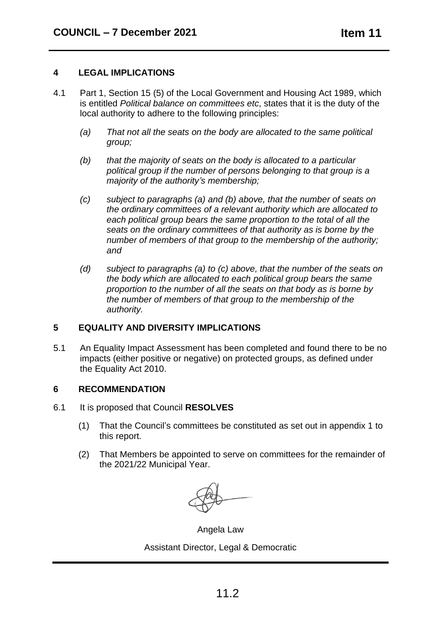### **4 LEGAL IMPLICATIONS**

- 4.1 Part 1, Section 15 (5) of the Local Government and Housing Act 1989, which is entitled *Political balance on committees etc*, states that it is the duty of the local authority to adhere to the following principles:
	- *(a) That not all the seats on the body are allocated to the same political group;*
	- *(b) that the majority of seats on the body is allocated to a particular political group if the number of persons belonging to that group is a majority of the authority's membership;*
	- *(c) subject to paragraphs (a) and (b) above, that the number of seats on the ordinary committees of a relevant authority which are allocated to each political group bears the same proportion to the total of all the seats on the ordinary committees of that authority as is borne by the number of members of that group to the membership of the authority; and*
	- *(d) subject to paragraphs (a) to (c) above, that the number of the seats on the body which are allocated to each political group bears the same proportion to the number of all the seats on that body as is borne by the number of members of that group to the membership of the authority.*

### **5 EQUALITY AND DIVERSITY IMPLICATIONS**

5.1 An Equality Impact Assessment has been completed and found there to be no impacts (either positive or negative) on protected groups, as defined under the Equality Act 2010.

#### **6 RECOMMENDATION**

- 6.1 It is proposed that Council **RESOLVES**
	- (1) That the Council's committees be constituted as set out in appendix 1 to this report.
	- (2) That Members be appointed to serve on committees for the remainder of the 2021/22 Municipal Year.

Angela Law

Assistant Director, Legal & Democratic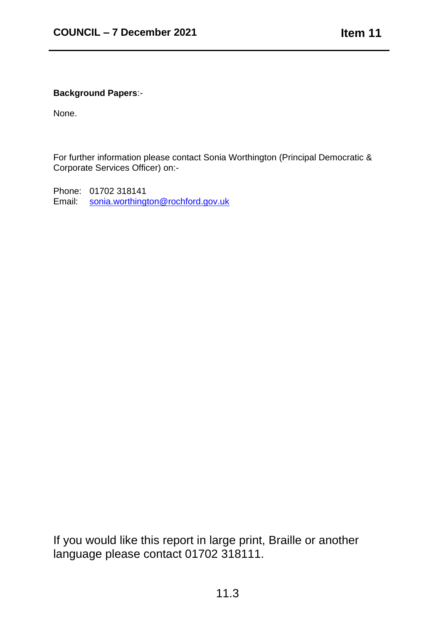## **Background Papers**:-

None.

For further information please contact Sonia Worthington (Principal Democratic & Corporate Services Officer) on:-

Phone: 01702 318141 Email: sonia.worthington@rochford.gov.uk

If you would like this report in large print, Braille or another language please contact 01702 318111.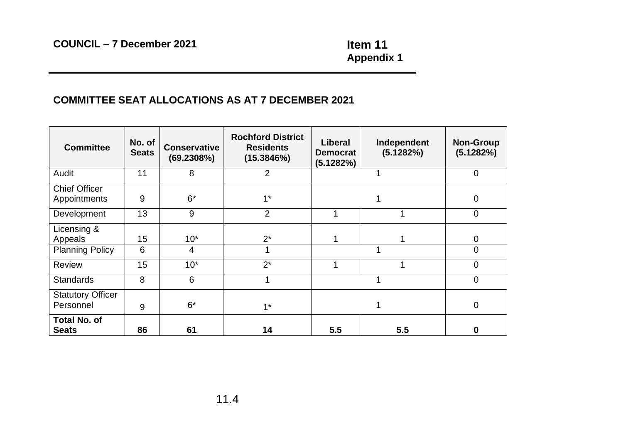**Appendix 1**

## **COMMITTEE SEAT ALLOCATIONS AS AT 7 DECEMBER 2021**

| <b>Committee</b>                      | No. of<br><b>Seats</b> | <b>Conservative</b><br>(69.2308%) | <b>Rochford District</b><br><b>Residents</b><br>(15.3846%) | Liberal<br><b>Democrat</b><br>(5.1282%) | Independent<br>(5.1282%) | <b>Non-Group</b><br>(5.1282%) |
|---------------------------------------|------------------------|-----------------------------------|------------------------------------------------------------|-----------------------------------------|--------------------------|-------------------------------|
| Audit                                 | 11                     | 8                                 | $\overline{2}$                                             |                                         |                          | $\overline{0}$                |
| <b>Chief Officer</b><br>Appointments  | 9                      | $6*$                              | $1*$                                                       |                                         |                          | $\mathbf 0$                   |
| Development                           | 13                     | 9                                 | $\overline{2}$                                             |                                         |                          | $\mathbf 0$                   |
| Licensing &<br>Appeals                | 15                     | $10*$                             | $2^*$                                                      |                                         |                          | 0                             |
| <b>Planning Policy</b>                | 6                      | $\overline{4}$                    |                                                            |                                         |                          | $\overline{0}$                |
| <b>Review</b>                         | 15                     | $10*$                             | $2^*$                                                      |                                         |                          | $\mathbf 0$                   |
| <b>Standards</b>                      | 8                      | 6                                 | 4                                                          |                                         |                          | $\Omega$                      |
| <b>Statutory Officer</b><br>Personnel | 9                      | $6*$                              | $1^*$                                                      |                                         |                          | $\overline{0}$                |
| <b>Total No. of</b><br><b>Seats</b>   | 86                     | 61                                | 14                                                         | 5.5                                     | 5.5                      |                               |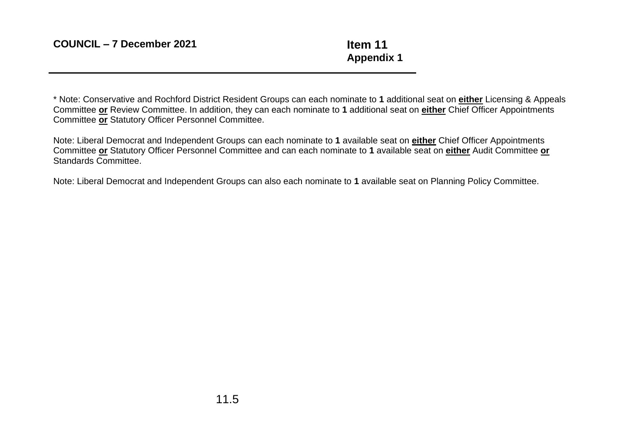**Appendix 1**

\* Note: Conservative and Rochford District Resident Groups can each nominate to **1** additional seat on **either** Licensing & Appeals Committee **or** Review Committee. In addition, they can each nominate to **1** additional seat on **either** Chief Officer Appointments Committee **or** Statutory Officer Personnel Committee.

Note: Liberal Democrat and Independent Groups can each nominate to **1** available seat on **either** Chief Officer Appointments Committee **or** Statutory Officer Personnel Committee and can each nominate to **1** available seat on **either** Audit Committee **or**  Standards Committee.

Note: Liberal Democrat and Independent Groups can also each nominate to **1** available seat on Planning Policy Committee.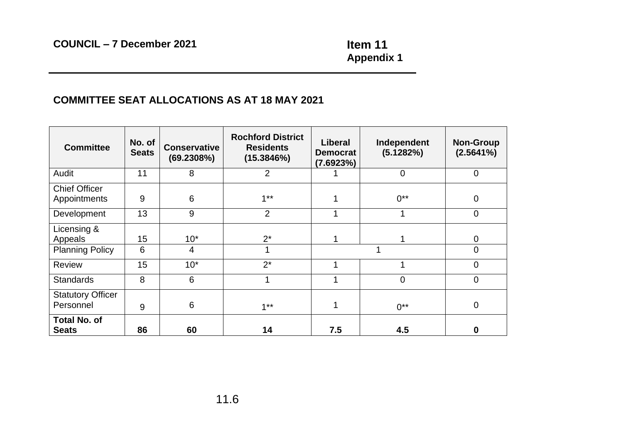**Appendix 1**

## **COMMITTEE SEAT ALLOCATIONS AS AT 18 MAY 2021**

| <b>Committee</b>                      | No. of<br><b>Seats</b> | <b>Conservative</b><br>(69.2308%) | <b>Rochford District</b><br><b>Residents</b><br>(15.3846%) | Liberal<br><b>Democrat</b><br>(7.6923%) | Independent<br>(5.1282%) | <b>Non-Group</b><br>(2.5641%) |
|---------------------------------------|------------------------|-----------------------------------|------------------------------------------------------------|-----------------------------------------|--------------------------|-------------------------------|
| Audit                                 | 11                     | 8                                 | 2                                                          |                                         | 0                        | $\overline{0}$                |
| <b>Chief Officer</b>                  |                        |                                   |                                                            |                                         |                          |                               |
| Appointments                          | 9                      | 6                                 | $1**$                                                      |                                         | $0^{**}$                 | $\mathbf 0$                   |
| Development                           | 13                     | 9                                 | $\overline{2}$                                             |                                         | 1                        | $\mathbf 0$                   |
| Licensing &<br>Appeals                | 15                     | $10*$                             | $2^*$                                                      |                                         |                          | 0                             |
| <b>Planning Policy</b>                | 6                      | $\overline{4}$                    |                                                            |                                         |                          | $\overline{0}$                |
| <b>Review</b>                         | 15                     | $10*$                             | $2^*$                                                      |                                         |                          | $\mathbf 0$                   |
| <b>Standards</b>                      | 8                      | 6                                 | ◢                                                          | 4                                       | 0                        | $\mathbf 0$                   |
| <b>Statutory Officer</b><br>Personnel | 9                      | 6                                 | $1***$                                                     |                                         | $0^{**}$                 | $\mathbf 0$                   |
| <b>Total No. of</b><br><b>Seats</b>   | 86                     | 60                                | 14                                                         | 7.5                                     | 4.5                      | O                             |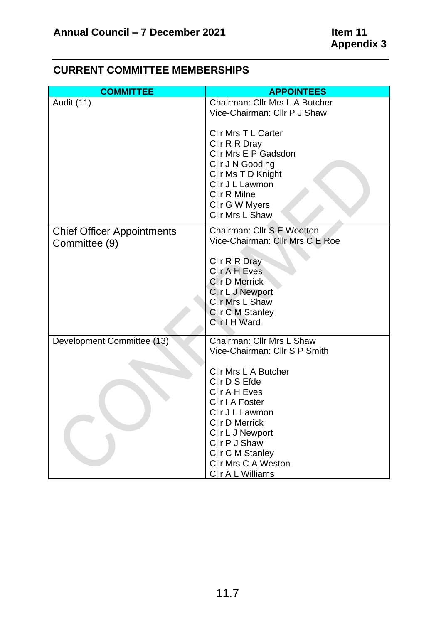## **COMMITTEE APPOINTEES** Audit (11) Chairman: Cllr Mrs L A Butcher Vice-Chairman: Cllr P J Shaw Cllr Mrs T L Carter Cllr R R Dray Cllr Mrs E P Gadsdon Cllr J N Gooding Cllr Ms T D Knight Cllr J L Lawmon Cllr R Milne Cllr G W Myers Cllr Mrs L Shaw Chief Officer Appointments Committee (9) Chairman: Cllr S E Wootton Vice-Chairman: Cllr Mrs C E Roe Cllr R R Dray Cllr A H Eves Cllr D Merrick Cllr L J Newport Cllr Mrs L Shaw Cllr C M Stanley Cllr I H Ward Development Committee (13) Chairman: Cllr Mrs L Shaw Vice-Chairman: Cllr S P Smith Cllr Mrs L A Butcher Cllr D S Efde Cllr A H Eves Cllr I A Foster Cllr J L Lawmon Cllr D Merrick Cllr L J Newport Cllr P J Shaw Cllr C M Stanley Cllr Mrs C A Weston

## **CURRENT COMMITTEE MEMBERSHIPS**

Cllr A L Williams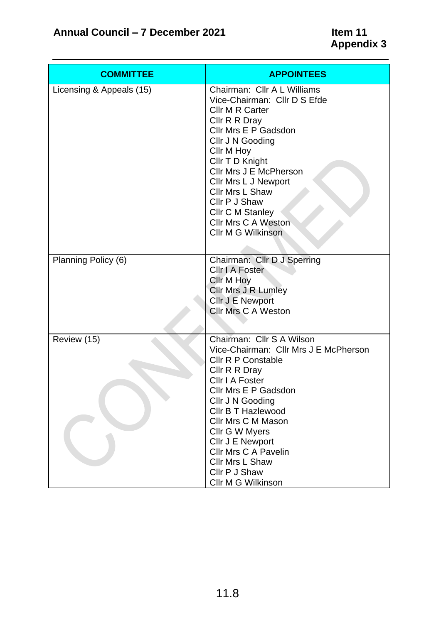| <b>COMMITTEE</b>         | <b>APPOINTEES</b>                                                                                                                                                                                                                                                                                                                                                 |
|--------------------------|-------------------------------------------------------------------------------------------------------------------------------------------------------------------------------------------------------------------------------------------------------------------------------------------------------------------------------------------------------------------|
| Licensing & Appeals (15) | Chairman: Cllr A L Williams<br>Vice-Chairman: Cllr D S Efde<br><b>Cllr M R Carter</b><br>Cllr R R Dray<br>Cllr Mrs E P Gadsdon<br>Cllr J N Gooding<br>Cllr M Hoy<br>Cllr T D Knight<br>Cllr Mrs J E McPherson<br>Cllr Mrs L J Newport<br>Cllr Mrs L Shaw<br>Cllr P J Shaw<br><b>Cllr C M Stanley</b><br><b>Cllr Mrs C A Weston</b><br>Cllr M G Wilkinson          |
| Planning Policy (6)      | Chairman: Cllr D J Sperring<br>Cllr I A Foster<br>Cllr M Hoy<br><b>Cllr Mrs J R Lumley</b><br><b>Cllr J E Newport</b><br><b>Cllr Mrs C A Weston</b>                                                                                                                                                                                                               |
| Review (15)              | Chairman: Cllr S A Wilson<br>Vice-Chairman: Cllr Mrs J E McPherson<br><b>Cllr R P Constable</b><br>Cllr R R Dray<br>Cllr I A Foster<br>Cllr Mrs E P Gadsdon<br>Cllr J N Gooding<br><b>Cllr B T Hazlewood</b><br>Cllr Mrs C M Mason<br>Cllr G W Myers<br>Cllr J E Newport<br><b>Cllr Mrs C A Pavelin</b><br>Cllr Mrs L Shaw<br>Cllr P J Shaw<br>Cllr M G Wilkinson |